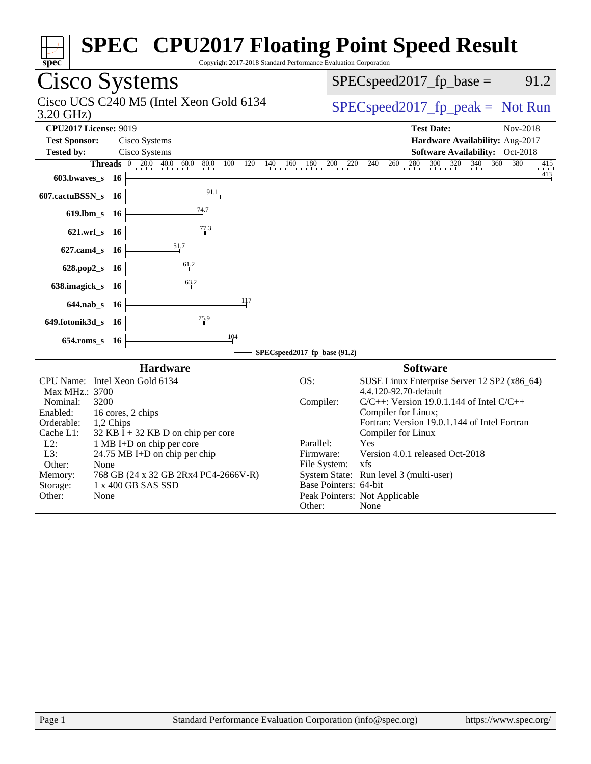| Copyright 2017-2018 Standard Performance Evaluation Corporation<br>spec                                                                                                                                                                                                                                                                                                                                                                                | <b>SPEC<sup>®</sup> CPU2017 Floating Point Speed Result</b>                                                                                                                                                                                                                                                                                                                                                                                              |
|--------------------------------------------------------------------------------------------------------------------------------------------------------------------------------------------------------------------------------------------------------------------------------------------------------------------------------------------------------------------------------------------------------------------------------------------------------|----------------------------------------------------------------------------------------------------------------------------------------------------------------------------------------------------------------------------------------------------------------------------------------------------------------------------------------------------------------------------------------------------------------------------------------------------------|
| Cisco Systems                                                                                                                                                                                                                                                                                                                                                                                                                                          | $SPEC speed2017_fp\_base =$<br>91.2                                                                                                                                                                                                                                                                                                                                                                                                                      |
| Cisco UCS C240 M5 (Intel Xeon Gold 6134<br>3.20 GHz)                                                                                                                                                                                                                                                                                                                                                                                                   | $SPEC speed2017fr peak = Not Run$                                                                                                                                                                                                                                                                                                                                                                                                                        |
| <b>CPU2017 License: 9019</b><br><b>Test Sponsor:</b><br>Cisco Systems<br>Cisco Systems<br><b>Tested by:</b>                                                                                                                                                                                                                                                                                                                                            | <b>Test Date:</b><br>Nov-2018<br>Hardware Availability: Aug-2017<br>Software Availability: Oct-2018                                                                                                                                                                                                                                                                                                                                                      |
| <b>Threads</b> $\begin{bmatrix} 0 & 20.0 & 40.0 & 60.0 & 80.0 \\ 0 & 0 & 0 & 0 & 0 \end{bmatrix}$<br>$100 \t 120 \t 140 \t 160 \t 180$<br>603.bwaves_s<br>- 16<br>91.1<br>607.cactuBSSN_s 16<br>$\frac{74.7}{4}$<br>619.lbm_s 16<br>77.3<br>621.wrf_s 16<br>51.7<br>$627$ .cam $4$ <sub>_S</sub><br>-16<br>$\frac{61}{2}$<br>628.pop2_s 16<br>63.2<br>638.imagick_s 16<br>117<br>$644$ .nab s 16<br>75.9<br>649.fotonik3d_s 16<br>104<br>654.roms_s 16 | 280 300 320 340 360 380<br>$\frac{200}{1}$ $\frac{220}{1}$ $\frac{240}{1}$ $\frac{260}{1}$<br>415<br>$\frac{413}{2}$                                                                                                                                                                                                                                                                                                                                     |
| <b>Hardware</b>                                                                                                                                                                                                                                                                                                                                                                                                                                        | SPECspeed2017_fp_base (91.2)<br><b>Software</b>                                                                                                                                                                                                                                                                                                                                                                                                          |
| CPU Name: Intel Xeon Gold 6134<br>Max MHz.: 3700<br>Nominal:<br>3200<br>Enabled:<br>16 cores, 2 chips<br>Orderable:<br>1,2 Chips<br>Cache L1:<br>$32$ KB I + 32 KB D on chip per core<br>$L2$ :<br>1 MB I+D on chip per core<br>L3:<br>24.75 MB I+D on chip per chip<br>Other:<br>None<br>768 GB (24 x 32 GB 2Rx4 PC4-2666V-R)<br>Memory:<br>Storage:<br>1 x 400 GB SAS SSD<br>Other:<br>None                                                          | SUSE Linux Enterprise Server 12 SP2 (x86_64)<br>OS:<br>4.4.120-92.70-default<br>$C/C++$ : Version 19.0.1.144 of Intel $C/C++$<br>Compiler:<br>Compiler for Linux;<br>Fortran: Version 19.0.1.144 of Intel Fortran<br>Compiler for Linux<br>Yes<br>Parallel:<br>Version 4.0.1 released Oct-2018<br>Firmware:<br>File System:<br>xfs<br>System State: Run level 3 (multi-user)<br>Base Pointers: 64-bit<br>Peak Pointers: Not Applicable<br>Other:<br>None |
|                                                                                                                                                                                                                                                                                                                                                                                                                                                        |                                                                                                                                                                                                                                                                                                                                                                                                                                                          |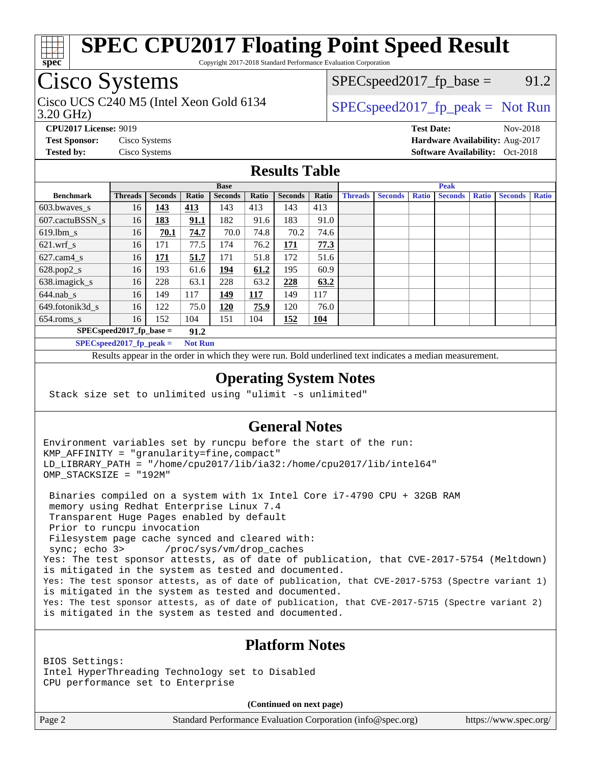

Copyright 2017-2018 Standard Performance Evaluation Corporation

## Cisco Systems

Cisco UCS C240 M5 (Intel Xeon Gold 6134  $\vert$  [SPECspeed2017\\_fp\\_peak =](http://www.spec.org/auto/cpu2017/Docs/result-fields.html#SPECspeed2017fppeak) Not Run

 $SPEC speed2017_fp\_base = 91.2$ 

3.20 GHz)

**[CPU2017 License:](http://www.spec.org/auto/cpu2017/Docs/result-fields.html#CPU2017License)** 9019 **[Test Date:](http://www.spec.org/auto/cpu2017/Docs/result-fields.html#TestDate)** Nov-2018 **[Test Sponsor:](http://www.spec.org/auto/cpu2017/Docs/result-fields.html#TestSponsor)** Cisco Systems **[Hardware Availability:](http://www.spec.org/auto/cpu2017/Docs/result-fields.html#HardwareAvailability)** Aug-2017 **[Tested by:](http://www.spec.org/auto/cpu2017/Docs/result-fields.html#Testedby)** Cisco Systems **Cisco Systems [Software Availability:](http://www.spec.org/auto/cpu2017/Docs/result-fields.html#SoftwareAvailability)** Oct-2018

#### **[Results Table](http://www.spec.org/auto/cpu2017/Docs/result-fields.html#ResultsTable)**

|                                    | <b>Base</b>    |                |       |                |            | <b>Peak</b>    |            |                |                |              |                |              |                |              |
|------------------------------------|----------------|----------------|-------|----------------|------------|----------------|------------|----------------|----------------|--------------|----------------|--------------|----------------|--------------|
| <b>Benchmark</b>                   | <b>Threads</b> | <b>Seconds</b> | Ratio | <b>Seconds</b> | Ratio      | <b>Seconds</b> | Ratio      | <b>Threads</b> | <b>Seconds</b> | <b>Ratio</b> | <b>Seconds</b> | <b>Ratio</b> | <b>Seconds</b> | <b>Ratio</b> |
| 603.bwayes_s                       | 16             | 143            | 413   | 143            | 413        | 143            | 413        |                |                |              |                |              |                |              |
| 607.cactuBSSN s                    | 16             | 183            | 91.1  | 182            | 91.6       | 183            | 91.0       |                |                |              |                |              |                |              |
| $619.$ lbm s                       | 16             | 70.1           | 74.7  | 70.0           | 74.8       | 70.2           | 74.6       |                |                |              |                |              |                |              |
| $621.wrf$ s                        | 16             | 171            | 77.5  | 174            | 76.2       | 171            | 77.3       |                |                |              |                |              |                |              |
| $627$ .cam $4 \text{ s}$           | 16             | 171            | 51.7  | 171            | 51.8       | 172            | 51.6       |                |                |              |                |              |                |              |
| $628.pop2_s$                       | 16             | 193            | 61.6  | 194            | 61.2       | 195            | 60.9       |                |                |              |                |              |                |              |
| 638.imagick_s                      | 16             | 228            | 63.1  | 228            | 63.2       | 228            | 63.2       |                |                |              |                |              |                |              |
| $644$ .nab s                       | 16             | 149            | 117   | 149            | <b>117</b> | 149            | 117        |                |                |              |                |              |                |              |
| 649.fotonik3d_s                    | 16             | 122            | 75.0  | 120            | 75.9       | 120            | 76.0       |                |                |              |                |              |                |              |
| $654$ .roms_s                      | 16             | 152            | 104   | 151            | 104        | 152            | <b>104</b> |                |                |              |                |              |                |              |
| $SPEC speed2017$ fp base =<br>91.2 |                |                |       |                |            |                |            |                |                |              |                |              |                |              |
| $SPECspeed2017_fp\_peak =$         | <b>Not Run</b> |                |       |                |            |                |            |                |                |              |                |              |                |              |

Results appear in the [order in which they were run.](http://www.spec.org/auto/cpu2017/Docs/result-fields.html#RunOrder) Bold underlined text [indicates a median measurement](http://www.spec.org/auto/cpu2017/Docs/result-fields.html#Median).

#### **[Operating System Notes](http://www.spec.org/auto/cpu2017/Docs/result-fields.html#OperatingSystemNotes)**

Stack size set to unlimited using "ulimit -s unlimited"

#### **[General Notes](http://www.spec.org/auto/cpu2017/Docs/result-fields.html#GeneralNotes)**

Environment variables set by runcpu before the start of the run: KMP\_AFFINITY = "granularity=fine,compact" LD\_LIBRARY\_PATH = "/home/cpu2017/lib/ia32:/home/cpu2017/lib/intel64" OMP\_STACKSIZE = "192M"

 Binaries compiled on a system with 1x Intel Core i7-4790 CPU + 32GB RAM memory using Redhat Enterprise Linux 7.4 Transparent Huge Pages enabled by default Prior to runcpu invocation Filesystem page cache synced and cleared with: sync; echo 3> /proc/sys/vm/drop\_caches Yes: The test sponsor attests, as of date of publication, that CVE-2017-5754 (Meltdown) is mitigated in the system as tested and documented. Yes: The test sponsor attests, as of date of publication, that CVE-2017-5753 (Spectre variant 1) is mitigated in the system as tested and documented. Yes: The test sponsor attests, as of date of publication, that CVE-2017-5715 (Spectre variant 2) is mitigated in the system as tested and documented.

### **[Platform Notes](http://www.spec.org/auto/cpu2017/Docs/result-fields.html#PlatformNotes)**

BIOS Settings: Intel HyperThreading Technology set to Disabled CPU performance set to Enterprise

**(Continued on next page)**

Page 2 Standard Performance Evaluation Corporation [\(info@spec.org\)](mailto:info@spec.org) <https://www.spec.org/>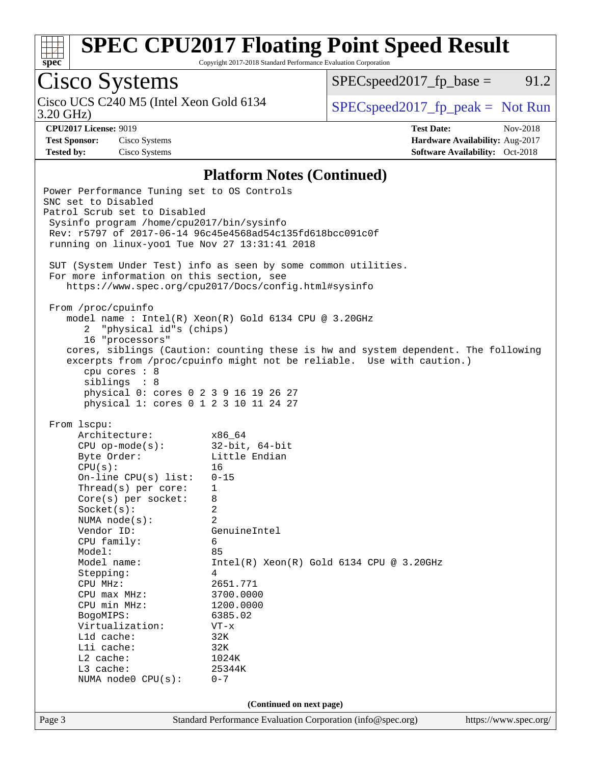

Copyright 2017-2018 Standard Performance Evaluation Corporation

# Cisco Systems

3.20 GHz) Cisco UCS C240 M5 (Intel Xeon Gold 6134 [SPECspeed2017\\_fp\\_peak =](http://www.spec.org/auto/cpu2017/Docs/result-fields.html#SPECspeed2017fppeak) Not Run

 $SPEC speed2017_fp\_base = 91.2$ 

**[Test Sponsor:](http://www.spec.org/auto/cpu2017/Docs/result-fields.html#TestSponsor)** Cisco Systems **[Hardware Availability:](http://www.spec.org/auto/cpu2017/Docs/result-fields.html#HardwareAvailability)** Aug-2017

**[CPU2017 License:](http://www.spec.org/auto/cpu2017/Docs/result-fields.html#CPU2017License)** 9019 **[Test Date:](http://www.spec.org/auto/cpu2017/Docs/result-fields.html#TestDate)** Nov-2018 **[Tested by:](http://www.spec.org/auto/cpu2017/Docs/result-fields.html#Testedby)** Cisco Systems **[Software Availability:](http://www.spec.org/auto/cpu2017/Docs/result-fields.html#SoftwareAvailability)** Oct-2018

#### **[Platform Notes \(Continued\)](http://www.spec.org/auto/cpu2017/Docs/result-fields.html#PlatformNotes)**

| Power Performance Tuning set to OS Controls<br>SNC set to Disabled<br>Patrol Scrub set to Disabled<br>Sysinfo program /home/cpu2017/bin/sysinfo<br>running on linux-yoo1 Tue Nov 27 13:31:41 2018                                                                                                                                                                                                                                                | Rev: r5797 of 2017-06-14 96c45e4568ad54c135fd618bcc091c0f                                                                                                                                                                                                                        |                       |
|--------------------------------------------------------------------------------------------------------------------------------------------------------------------------------------------------------------------------------------------------------------------------------------------------------------------------------------------------------------------------------------------------------------------------------------------------|----------------------------------------------------------------------------------------------------------------------------------------------------------------------------------------------------------------------------------------------------------------------------------|-----------------------|
| For more information on this section, see                                                                                                                                                                                                                                                                                                                                                                                                        | SUT (System Under Test) info as seen by some common utilities.<br>https://www.spec.org/cpu2017/Docs/config.html#sysinfo                                                                                                                                                          |                       |
| From /proc/cpuinfo<br>2 "physical id"s (chips)<br>16 "processors"<br>cpu cores : 8<br>siblings : 8<br>physical 0: cores 0 2 3 9 16 19 26 27<br>physical 1: cores 0 1 2 3 10 11 24 27                                                                                                                                                                                                                                                             | model name : Intel(R) Xeon(R) Gold 6134 CPU @ 3.20GHz<br>cores, siblings (Caution: counting these is hw and system dependent. The following<br>excerpts from /proc/cpuinfo might not be reliable. Use with caution.)                                                             |                       |
| From 1scpu:<br>Architecture:<br>x86 64<br>CPU op-mode(s): $32-bit$ , 64-bit<br>Byte Order:<br>CPU(s):<br>On-line $CPU(s)$ list:<br>Thread(s) per core:<br>$Core(s)$ per socket:<br>Socket(s):<br>NUMA node(s):<br>Vendor ID:<br>CPU family:<br>Model:<br>Model name:<br>Stepping:<br>CPU MHz:<br>$CPU$ $max$ $MHz$ :<br>CPU min MHz:<br>BogoMIPS:<br>Virtualization:<br>L1d cache:<br>Lli cache:<br>L2 cache:<br>L3 cache:<br>NUMA node0 CPU(s): | Little Endian<br>16<br>$0 - 15$<br>$\mathbf{1}$<br>8<br>2<br>2<br>GenuineIntel<br>6<br>85<br>$Intel(R)$ Xeon $(R)$ Gold 6134 CPU @ 3.20GHz<br>4<br>2651.771<br>3700.0000<br>1200.0000<br>6385.02<br>VT-x<br>32K<br>32K<br>1024K<br>25344K<br>$0 - 7$<br>(Continued on next page) |                       |
| Page 3                                                                                                                                                                                                                                                                                                                                                                                                                                           | Standard Performance Evaluation Corporation (info@spec.org)                                                                                                                                                                                                                      | https://www.spec.org/ |
|                                                                                                                                                                                                                                                                                                                                                                                                                                                  |                                                                                                                                                                                                                                                                                  |                       |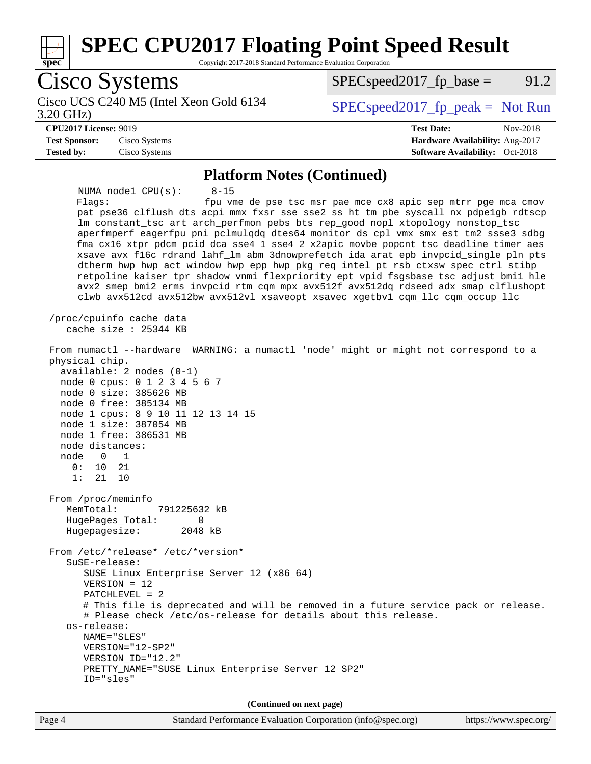

Copyright 2017-2018 Standard Performance Evaluation Corporation

Cisco Systems Cisco UCS C240 M5 (Intel Xeon Gold 6134<br>3.20 GHz)  $SPEC speed2017_fp\_peak = Not Run$  $SPEC speed2017_fp\_base = 91.2$ **[CPU2017 License:](http://www.spec.org/auto/cpu2017/Docs/result-fields.html#CPU2017License)** 9019 **[Test Date:](http://www.spec.org/auto/cpu2017/Docs/result-fields.html#TestDate)** Nov-2018 **[Test Sponsor:](http://www.spec.org/auto/cpu2017/Docs/result-fields.html#TestSponsor)** Cisco Systems **[Hardware Availability:](http://www.spec.org/auto/cpu2017/Docs/result-fields.html#HardwareAvailability)** Aug-2017 **[Tested by:](http://www.spec.org/auto/cpu2017/Docs/result-fields.html#Testedby)** Cisco Systems **[Software Availability:](http://www.spec.org/auto/cpu2017/Docs/result-fields.html#SoftwareAvailability)** Oct-2018 **[Platform Notes \(Continued\)](http://www.spec.org/auto/cpu2017/Docs/result-fields.html#PlatformNotes)** NUMA node1 CPU(s): 8-15 Flags: fpu vme de pse tsc msr pae mce cx8 apic sep mtrr pge mca cmov pat pse36 clflush dts acpi mmx fxsr sse sse2 ss ht tm pbe syscall nx pdpe1gb rdtscp lm constant\_tsc art arch\_perfmon pebs bts rep\_good nopl xtopology nonstop\_tsc aperfmperf eagerfpu pni pclmulqdq dtes64 monitor ds\_cpl vmx smx est tm2 ssse3 sdbg fma cx16 xtpr pdcm pcid dca sse4\_1 sse4\_2 x2apic movbe popcnt tsc\_deadline\_timer aes xsave avx f16c rdrand lahf\_lm abm 3dnowprefetch ida arat epb invpcid\_single pln pts dtherm hwp hwp\_act\_window hwp\_epp hwp\_pkg\_req intel\_pt rsb\_ctxsw spec\_ctrl stibp retpoline kaiser tpr\_shadow vnmi flexpriority ept vpid fsgsbase tsc\_adjust bmi1 hle avx2 smep bmi2 erms invpcid rtm cqm mpx avx512f avx512dq rdseed adx smap clflushopt clwb avx512cd avx512bw avx512vl xsaveopt xsavec xgetbv1 cqm\_llc cqm\_occup\_llc /proc/cpuinfo cache data cache size : 25344 KB From numactl --hardware WARNING: a numactl 'node' might or might not correspond to a physical chip. available: 2 nodes (0-1) node 0 cpus: 0 1 2 3 4 5 6 7 node 0 size: 385626 MB node 0 free: 385134 MB node 1 cpus: 8 9 10 11 12 13 14 15 node 1 size: 387054 MB node 1 free: 386531 MB node distances: node 0 1 0: 10 21 1: 21 10 From /proc/meminfo MemTotal: 791225632 kB HugePages\_Total: 0 Hugepagesize: 2048 kB From /etc/\*release\* /etc/\*version\* SuSE-release: SUSE Linux Enterprise Server 12 (x86\_64) VERSION = 12 PATCHLEVEL = 2 # This file is deprecated and will be removed in a future service pack or release. # Please check /etc/os-release for details about this release. os-release: NAME="SLES" VERSION="12-SP2" VERSION\_ID="12.2" PRETTY\_NAME="SUSE Linux Enterprise Server 12 SP2" ID="sles" **(Continued on next page)**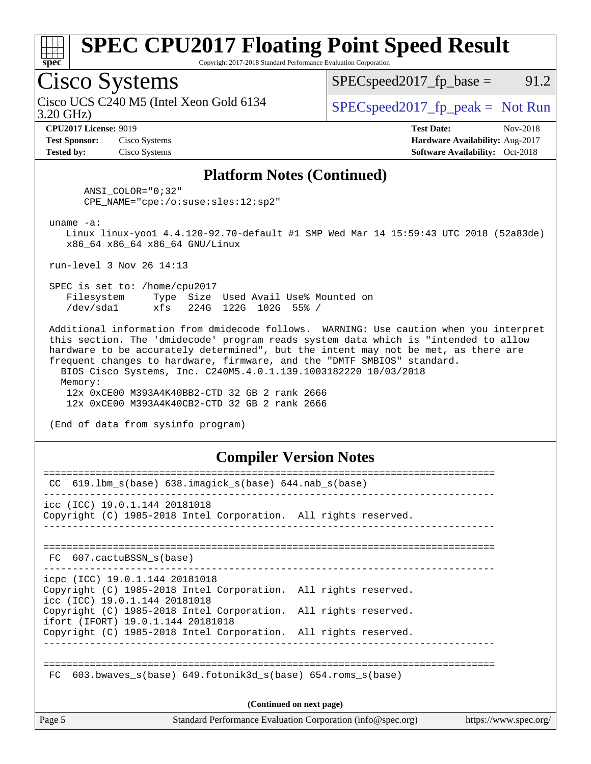

Copyright 2017-2018 Standard Performance Evaluation Corporation

## Cisco Systems

3.20 GHz) Cisco UCS C240 M5 (Intel Xeon Gold 6134  $\vert$  [SPECspeed2017\\_fp\\_peak =](http://www.spec.org/auto/cpu2017/Docs/result-fields.html#SPECspeed2017fppeak) Not Run

 $SPEC speed2017_fp\_base = 91.2$ 

**[Test Sponsor:](http://www.spec.org/auto/cpu2017/Docs/result-fields.html#TestSponsor)** Cisco Systems **[Hardware Availability:](http://www.spec.org/auto/cpu2017/Docs/result-fields.html#HardwareAvailability)** Aug-2017 **[Tested by:](http://www.spec.org/auto/cpu2017/Docs/result-fields.html#Testedby)** Cisco Systems **Cisco Systems [Software Availability:](http://www.spec.org/auto/cpu2017/Docs/result-fields.html#SoftwareAvailability)** Oct-2018

**[CPU2017 License:](http://www.spec.org/auto/cpu2017/Docs/result-fields.html#CPU2017License)** 9019 **[Test Date:](http://www.spec.org/auto/cpu2017/Docs/result-fields.html#TestDate)** Nov-2018

#### **[Platform Notes \(Continued\)](http://www.spec.org/auto/cpu2017/Docs/result-fields.html#PlatformNotes)**

 ANSI\_COLOR="0;32" CPE\_NAME="cpe:/o:suse:sles:12:sp2"

uname -a:

 Linux linux-yoo1 4.4.120-92.70-default #1 SMP Wed Mar 14 15:59:43 UTC 2018 (52a83de) x86\_64 x86\_64 x86\_64 GNU/Linux

run-level 3 Nov 26 14:13

 SPEC is set to: /home/cpu2017 Filesystem Type Size Used Avail Use% Mounted on /dev/sda1 xfs 224G 122G 102G 55% /

 Additional information from dmidecode follows. WARNING: Use caution when you interpret this section. The 'dmidecode' program reads system data which is "intended to allow hardware to be accurately determined", but the intent may not be met, as there are frequent changes to hardware, firmware, and the "DMTF SMBIOS" standard. BIOS Cisco Systems, Inc. C240M5.4.0.1.139.1003182220 10/03/2018 Memory:

 12x 0xCE00 M393A4K40BB2-CTD 32 GB 2 rank 2666 12x 0xCE00 M393A4K40CB2-CTD 32 GB 2 rank 2666

(End of data from sysinfo program)

#### **[Compiler Version Notes](http://www.spec.org/auto/cpu2017/Docs/result-fields.html#CompilerVersionNotes)**

| CC.                                                             | $619.1$ bm s(base) $638.i$ maqick s(base) $644.nab$ s(base)                                                                        |                       |  |  |  |
|-----------------------------------------------------------------|------------------------------------------------------------------------------------------------------------------------------------|-----------------------|--|--|--|
|                                                                 | icc (ICC) 19.0.1.144 20181018<br>Copyright (C) 1985-2018 Intel Corporation. All rights reserved.                                   |                       |  |  |  |
|                                                                 | FC 607.cactuBSSN s(base)<br>--------------------------------                                                                       |                       |  |  |  |
|                                                                 | icpc (ICC) 19.0.1.144 20181018<br>Copyright (C) 1985-2018 Intel Corporation. All rights reserved.<br>icc (ICC) 19.0.1.144 20181018 |                       |  |  |  |
|                                                                 | Copyright (C) 1985-2018 Intel Corporation. All rights reserved.<br>ifort (IFORT) 19.0.1.144 20181018                               |                       |  |  |  |
|                                                                 | Copyright (C) 1985-2018 Intel Corporation. All rights reserved.                                                                    |                       |  |  |  |
| 603.bwaves s(base) 649.fotonik3d s(base) 654.roms s(base)<br>FC |                                                                                                                                    |                       |  |  |  |
| (Continued on next page)                                        |                                                                                                                                    |                       |  |  |  |
| Page 5                                                          | Standard Performance Evaluation Corporation (info@spec.org)                                                                        | https://www.spec.org/ |  |  |  |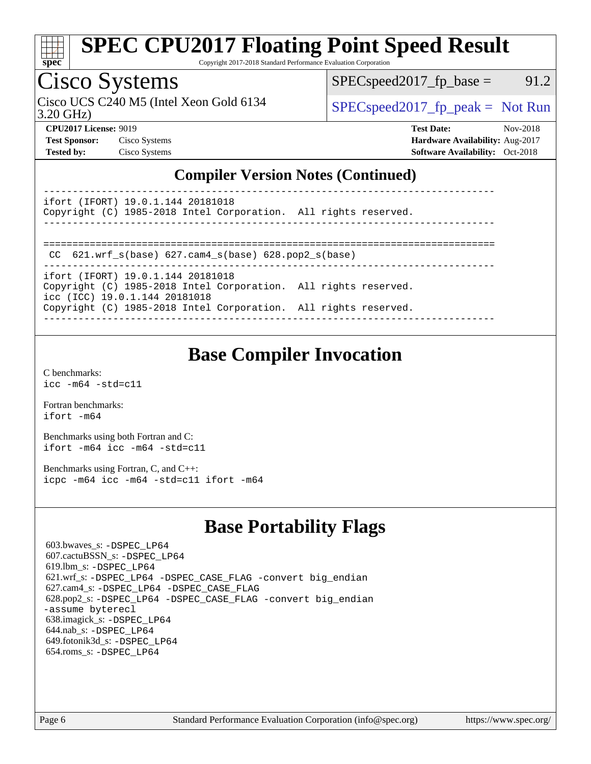

Copyright 2017-2018 Standard Performance Evaluation Corporation

## Cisco Systems

3.20 GHz) Cisco UCS C240 M5 (Intel Xeon Gold 6134  $\vert$  [SPECspeed2017\\_fp\\_peak =](http://www.spec.org/auto/cpu2017/Docs/result-fields.html#SPECspeed2017fppeak) Not Run

 $SPEC speed2017_fp\_base = 91.2$ 

**[CPU2017 License:](http://www.spec.org/auto/cpu2017/Docs/result-fields.html#CPU2017License)** 9019 **[Test Date:](http://www.spec.org/auto/cpu2017/Docs/result-fields.html#TestDate)** Nov-2018 **[Test Sponsor:](http://www.spec.org/auto/cpu2017/Docs/result-fields.html#TestSponsor)** Cisco Systems **[Hardware Availability:](http://www.spec.org/auto/cpu2017/Docs/result-fields.html#HardwareAvailability)** Aug-2017 **[Tested by:](http://www.spec.org/auto/cpu2017/Docs/result-fields.html#Testedby)** Cisco Systems **[Software Availability:](http://www.spec.org/auto/cpu2017/Docs/result-fields.html#SoftwareAvailability)** Oct-2018

#### **[Compiler Version Notes \(Continued\)](http://www.spec.org/auto/cpu2017/Docs/result-fields.html#CompilerVersionNotes)**

----------------------------------------------------------------------------- ifort (IFORT) 19.0.1.144 20181018

Copyright (C) 1985-2018 Intel Corporation. All rights reserved. ------------------------------------------------------------------------------

```
==============================================================================
```
CC 621.wrf\_s(base) 627.cam4\_s(base) 628.pop2\_s(base)

----------------------------------------------------------------------------- ifort (IFORT) 19.0.1.144 20181018 Copyright (C) 1985-2018 Intel Corporation. All rights reserved. icc (ICC) 19.0.1.144 20181018 Copyright (C) 1985-2018 Intel Corporation. All rights reserved.

------------------------------------------------------------------------------

### **[Base Compiler Invocation](http://www.spec.org/auto/cpu2017/Docs/result-fields.html#BaseCompilerInvocation)**

[C benchmarks](http://www.spec.org/auto/cpu2017/Docs/result-fields.html#Cbenchmarks): [icc -m64 -std=c11](http://www.spec.org/cpu2017/results/res2018q4/cpu2017-20181211-10240.flags.html#user_CCbase_intel_icc_64bit_c11_33ee0cdaae7deeeab2a9725423ba97205ce30f63b9926c2519791662299b76a0318f32ddfffdc46587804de3178b4f9328c46fa7c2b0cd779d7a61945c91cd35)

[Fortran benchmarks](http://www.spec.org/auto/cpu2017/Docs/result-fields.html#Fortranbenchmarks): [ifort -m64](http://www.spec.org/cpu2017/results/res2018q4/cpu2017-20181211-10240.flags.html#user_FCbase_intel_ifort_64bit_24f2bb282fbaeffd6157abe4f878425411749daecae9a33200eee2bee2fe76f3b89351d69a8130dd5949958ce389cf37ff59a95e7a40d588e8d3a57e0c3fd751)

[Benchmarks using both Fortran and C](http://www.spec.org/auto/cpu2017/Docs/result-fields.html#BenchmarksusingbothFortranandC): [ifort -m64](http://www.spec.org/cpu2017/results/res2018q4/cpu2017-20181211-10240.flags.html#user_CC_FCbase_intel_ifort_64bit_24f2bb282fbaeffd6157abe4f878425411749daecae9a33200eee2bee2fe76f3b89351d69a8130dd5949958ce389cf37ff59a95e7a40d588e8d3a57e0c3fd751) [icc -m64 -std=c11](http://www.spec.org/cpu2017/results/res2018q4/cpu2017-20181211-10240.flags.html#user_CC_FCbase_intel_icc_64bit_c11_33ee0cdaae7deeeab2a9725423ba97205ce30f63b9926c2519791662299b76a0318f32ddfffdc46587804de3178b4f9328c46fa7c2b0cd779d7a61945c91cd35)

[Benchmarks using Fortran, C, and C++:](http://www.spec.org/auto/cpu2017/Docs/result-fields.html#BenchmarksusingFortranCandCXX) [icpc -m64](http://www.spec.org/cpu2017/results/res2018q4/cpu2017-20181211-10240.flags.html#user_CC_CXX_FCbase_intel_icpc_64bit_4ecb2543ae3f1412ef961e0650ca070fec7b7afdcd6ed48761b84423119d1bf6bdf5cad15b44d48e7256388bc77273b966e5eb805aefd121eb22e9299b2ec9d9) [icc -m64 -std=c11](http://www.spec.org/cpu2017/results/res2018q4/cpu2017-20181211-10240.flags.html#user_CC_CXX_FCbase_intel_icc_64bit_c11_33ee0cdaae7deeeab2a9725423ba97205ce30f63b9926c2519791662299b76a0318f32ddfffdc46587804de3178b4f9328c46fa7c2b0cd779d7a61945c91cd35) [ifort -m64](http://www.spec.org/cpu2017/results/res2018q4/cpu2017-20181211-10240.flags.html#user_CC_CXX_FCbase_intel_ifort_64bit_24f2bb282fbaeffd6157abe4f878425411749daecae9a33200eee2bee2fe76f3b89351d69a8130dd5949958ce389cf37ff59a95e7a40d588e8d3a57e0c3fd751)

### **[Base Portability Flags](http://www.spec.org/auto/cpu2017/Docs/result-fields.html#BasePortabilityFlags)**

 603.bwaves\_s: [-DSPEC\\_LP64](http://www.spec.org/cpu2017/results/res2018q4/cpu2017-20181211-10240.flags.html#suite_basePORTABILITY603_bwaves_s_DSPEC_LP64) 607.cactuBSSN\_s: [-DSPEC\\_LP64](http://www.spec.org/cpu2017/results/res2018q4/cpu2017-20181211-10240.flags.html#suite_basePORTABILITY607_cactuBSSN_s_DSPEC_LP64) 619.lbm\_s: [-DSPEC\\_LP64](http://www.spec.org/cpu2017/results/res2018q4/cpu2017-20181211-10240.flags.html#suite_basePORTABILITY619_lbm_s_DSPEC_LP64) 621.wrf\_s: [-DSPEC\\_LP64](http://www.spec.org/cpu2017/results/res2018q4/cpu2017-20181211-10240.flags.html#suite_basePORTABILITY621_wrf_s_DSPEC_LP64) [-DSPEC\\_CASE\\_FLAG](http://www.spec.org/cpu2017/results/res2018q4/cpu2017-20181211-10240.flags.html#b621.wrf_s_baseCPORTABILITY_DSPEC_CASE_FLAG) [-convert big\\_endian](http://www.spec.org/cpu2017/results/res2018q4/cpu2017-20181211-10240.flags.html#user_baseFPORTABILITY621_wrf_s_convert_big_endian_c3194028bc08c63ac5d04de18c48ce6d347e4e562e8892b8bdbdc0214820426deb8554edfa529a3fb25a586e65a3d812c835984020483e7e73212c4d31a38223) 627.cam4\_s: [-DSPEC\\_LP64](http://www.spec.org/cpu2017/results/res2018q4/cpu2017-20181211-10240.flags.html#suite_basePORTABILITY627_cam4_s_DSPEC_LP64) [-DSPEC\\_CASE\\_FLAG](http://www.spec.org/cpu2017/results/res2018q4/cpu2017-20181211-10240.flags.html#b627.cam4_s_baseCPORTABILITY_DSPEC_CASE_FLAG) 628.pop2\_s: [-DSPEC\\_LP64](http://www.spec.org/cpu2017/results/res2018q4/cpu2017-20181211-10240.flags.html#suite_basePORTABILITY628_pop2_s_DSPEC_LP64) [-DSPEC\\_CASE\\_FLAG](http://www.spec.org/cpu2017/results/res2018q4/cpu2017-20181211-10240.flags.html#b628.pop2_s_baseCPORTABILITY_DSPEC_CASE_FLAG) [-convert big\\_endian](http://www.spec.org/cpu2017/results/res2018q4/cpu2017-20181211-10240.flags.html#user_baseFPORTABILITY628_pop2_s_convert_big_endian_c3194028bc08c63ac5d04de18c48ce6d347e4e562e8892b8bdbdc0214820426deb8554edfa529a3fb25a586e65a3d812c835984020483e7e73212c4d31a38223) [-assume byterecl](http://www.spec.org/cpu2017/results/res2018q4/cpu2017-20181211-10240.flags.html#user_baseFPORTABILITY628_pop2_s_assume_byterecl_7e47d18b9513cf18525430bbf0f2177aa9bf368bc7a059c09b2c06a34b53bd3447c950d3f8d6c70e3faf3a05c8557d66a5798b567902e8849adc142926523472) 638.imagick\_s: [-DSPEC\\_LP64](http://www.spec.org/cpu2017/results/res2018q4/cpu2017-20181211-10240.flags.html#suite_basePORTABILITY638_imagick_s_DSPEC_LP64) 644.nab\_s: [-DSPEC\\_LP64](http://www.spec.org/cpu2017/results/res2018q4/cpu2017-20181211-10240.flags.html#suite_basePORTABILITY644_nab_s_DSPEC_LP64) 649.fotonik3d\_s: [-DSPEC\\_LP64](http://www.spec.org/cpu2017/results/res2018q4/cpu2017-20181211-10240.flags.html#suite_basePORTABILITY649_fotonik3d_s_DSPEC_LP64) 654.roms\_s: [-DSPEC\\_LP64](http://www.spec.org/cpu2017/results/res2018q4/cpu2017-20181211-10240.flags.html#suite_basePORTABILITY654_roms_s_DSPEC_LP64)